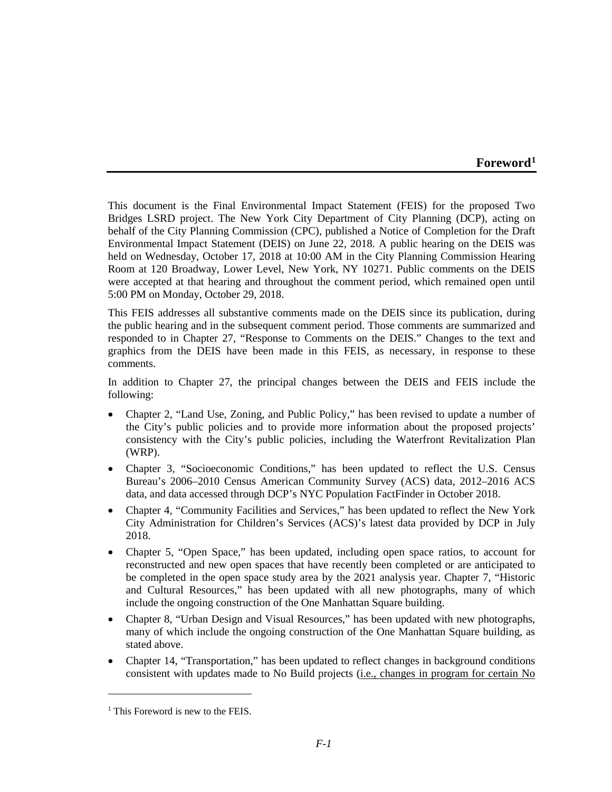## **Foreword[1](#page-0-0)**

This document is the Final Environmental Impact Statement (FEIS) for the proposed Two Bridges LSRD project. The New York City Department of City Planning (DCP), acting on behalf of the City Planning Commission (CPC), published a Notice of Completion for the Draft Environmental Impact Statement (DEIS) on June 22, 2018. A public hearing on the DEIS was held on Wednesday, October 17, 2018 at 10:00 AM in the City Planning Commission Hearing Room at 120 Broadway, Lower Level, New York, NY 10271. Public comments on the DEIS were accepted at that hearing and throughout the comment period, which remained open until 5:00 PM on Monday, October 29, 2018.

This FEIS addresses all substantive comments made on the DEIS since its publication, during the public hearing and in the subsequent comment period. Those comments are summarized and responded to in Chapter 27, "Response to Comments on the DEIS." Changes to the text and graphics from the DEIS have been made in this FEIS, as necessary, in response to these comments.

In addition to Chapter 27, the principal changes between the DEIS and FEIS include the following:

- Chapter 2, "Land Use, Zoning, and Public Policy," has been revised to update a number of the City's public policies and to provide more information about the proposed projects' consistency with the City's public policies, including the Waterfront Revitalization Plan (WRP).
- Chapter 3, "Socioeconomic Conditions," has been updated to reflect the U.S. Census Bureau's 2006–2010 Census American Community Survey (ACS) data, 2012–2016 ACS data, and data accessed through DCP's NYC Population FactFinder in October 2018.
- Chapter 4, "Community Facilities and Services," has been updated to reflect the New York City Administration for Children's Services (ACS)'s latest data provided by DCP in July 2018.
- Chapter 5, "Open Space," has been updated, including open space ratios, to account for reconstructed and new open spaces that have recently been completed or are anticipated to be completed in the open space study area by the 2021 analysis year. Chapter 7, "Historic and Cultural Resources," has been updated with all new photographs, many of which include the ongoing construction of the One Manhattan Square building.
- Chapter 8, "Urban Design and Visual Resources," has been updated with new photographs, many of which include the ongoing construction of the One Manhattan Square building, as stated above.
- Chapter 14, "Transportation," has been updated to reflect changes in background conditions consistent with updates made to No Build projects (i.e., changes in program for certain No

 $\overline{a}$ 

<span id="page-0-0"></span> $<sup>1</sup>$  This Foreword is new to the FEIS.</sup>